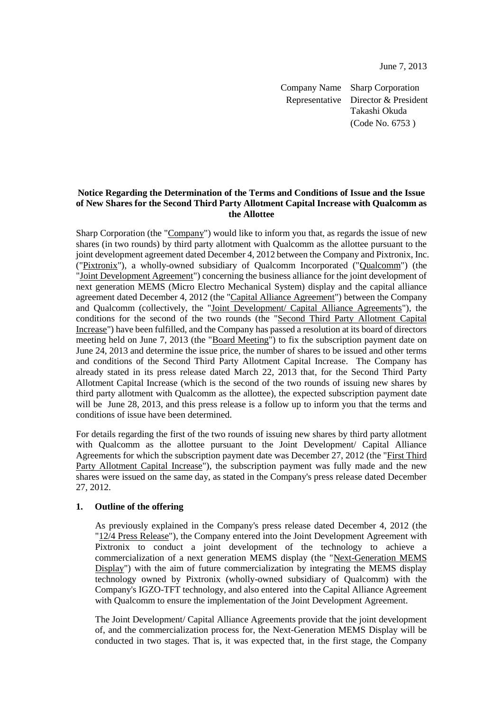June 7, 2013

Company Name Sharp Corporation Representative Director & President Takashi Okuda (Code No. 6753 )

### **Notice Regarding the Determination of the Terms and Conditions of Issue and the Issue of New Shares for the Second Third Party Allotment Capital Increase with Qualcomm as the Allottee**

Sharp Corporation (the "Company") would like to inform you that, as regards the issue of new shares (in two rounds) by third party allotment with Qualcomm as the allottee pursuant to the joint development agreement dated December 4, 2012 between the Company and Pixtronix, Inc. ("Pixtronix"), a wholly-owned subsidiary of Qualcomm Incorporated ("Qualcomm") (the "Joint Development Agreement") concerning the business alliance for the joint development of next generation MEMS (Micro Electro Mechanical System) display and the capital alliance agreement dated December 4, 2012 (the "Capital Alliance Agreement") between the Company and Qualcomm (collectively, the "Joint Development/ Capital Alliance Agreements"), the conditions for the second of the two rounds (the "Second Third Party Allotment Capital Increase") have been fulfilled, and the Company has passed a resolution at its board of directors meeting held on June 7, 2013 (the "Board Meeting") to fix the subscription payment date on June 24, 2013 and determine the issue price, the number of shares to be issued and other terms and conditions of the Second Third Party Allotment Capital Increase. The Company has already stated in its press release dated March 22, 2013 that, for the Second Third Party Allotment Capital Increase (which is the second of the two rounds of issuing new shares by third party allotment with Qualcomm as the allottee), the expected subscription payment date will be June 28, 2013, and this press release is a follow up to inform you that the terms and conditions of issue have been determined.

For details regarding the first of the two rounds of issuing new shares by third party allotment with Qualcomm as the allottee pursuant to the Joint Development/ Capital Alliance Agreements for which the subscription payment date was December 27, 2012 (the "First Third Party Allotment Capital Increase"), the subscription payment was fully made and the new shares were issued on the same day, as stated in the Company's press release dated December 27, 2012.

## **1. Outline of the offering**

As previously explained in the Company's press release dated December 4, 2012 (the "12/4 Press Release"), the Company entered into the Joint Development Agreement with Pixtronix to conduct a joint development of the technology to achieve a commercialization of a next generation MEMS display (the "Next-Generation MEMS Display") with the aim of future commercialization by integrating the MEMS display technology owned by Pixtronix (wholly-owned subsidiary of Qualcomm) with the Company's IGZO-TFT technology, and also entered into the Capital Alliance Agreement with Qualcomm to ensure the implementation of the Joint Development Agreement.

The Joint Development/ Capital Alliance Agreements provide that the joint development of, and the commercialization process for, the Next-Generation MEMS Display will be conducted in two stages. That is, it was expected that, in the first stage, the Company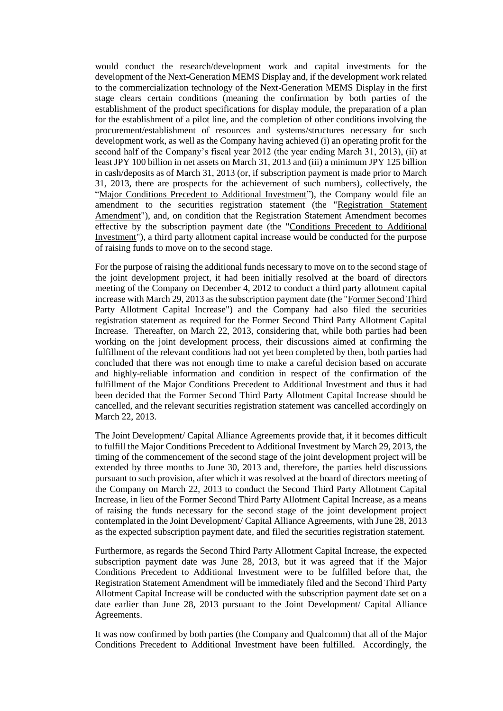would conduct the research/development work and capital investments for the development of the Next-Generation MEMS Display and, if the development work related to the commercialization technology of the Next-Generation MEMS Display in the first stage clears certain conditions (meaning the confirmation by both parties of the establishment of the product specifications for display module, the preparation of a plan for the establishment of a pilot line, and the completion of other conditions involving the procurement/establishment of resources and systems/structures necessary for such development work, as well as the Company having achieved (i) an operating profit for the second half of the Company's fiscal year 2012 (the year ending March 31, 2013), (ii) at least JPY 100 billion in net assets on March 31, 2013 and (iii) a minimum JPY 125 billion in cash/deposits as of March 31, 2013 (or, if subscription payment is made prior to March 31, 2013, there are prospects for the achievement of such numbers), collectively, the "Major Conditions Precedent to Additional Investment"), the Company would file an amendment to the securities registration statement (the "Registration Statement Amendment"), and, on condition that the Registration Statement Amendment becomes effective by the subscription payment date (the "Conditions Precedent to Additional Investment"), a third party allotment capital increase would be conducted for the purpose of raising funds to move on to the second stage.

For the purpose of raising the additional funds necessary to move on to the second stage of the joint development project, it had been initially resolved at the board of directors meeting of the Company on December 4, 2012 to conduct a third party allotment capital increase with March 29, 2013 as the subscription payment date (the "Former Second Third Party Allotment Capital Increase") and the Company had also filed the securities registration statement as required for the Former Second Third Party Allotment Capital Increase. Thereafter, on March 22, 2013, considering that, while both parties had been working on the joint development process, their discussions aimed at confirming the fulfillment of the relevant conditions had not yet been completed by then, both parties had concluded that there was not enough time to make a careful decision based on accurate and highly-reliable information and condition in respect of the confirmation of the fulfillment of the Major Conditions Precedent to Additional Investment and thus it had been decided that the Former Second Third Party Allotment Capital Increase should be cancelled, and the relevant securities registration statement was cancelled accordingly on March 22, 2013.

The Joint Development/ Capital Alliance Agreements provide that, if it becomes difficult to fulfill the Major Conditions Precedent to Additional Investment by March 29, 2013, the timing of the commencement of the second stage of the joint development project will be extended by three months to June 30, 2013 and, therefore, the parties held discussions pursuant to such provision, after which it was resolved at the board of directors meeting of the Company on March 22, 2013 to conduct the Second Third Party Allotment Capital Increase, in lieu of the Former Second Third Party Allotment Capital Increase, as a means of raising the funds necessary for the second stage of the joint development project contemplated in the Joint Development/ Capital Alliance Agreements, with June 28, 2013 as the expected subscription payment date, and filed the securities registration statement.

Furthermore, as regards the Second Third Party Allotment Capital Increase, the expected subscription payment date was June 28, 2013, but it was agreed that if the Major Conditions Precedent to Additional Investment were to be fulfilled before that, the Registration Statement Amendment will be immediately filed and the Second Third Party Allotment Capital Increase will be conducted with the subscription payment date set on a date earlier than June 28, 2013 pursuant to the Joint Development/ Capital Alliance Agreements.

It was now confirmed by both parties (the Company and Qualcomm) that all of the Major Conditions Precedent to Additional Investment have been fulfilled. Accordingly, the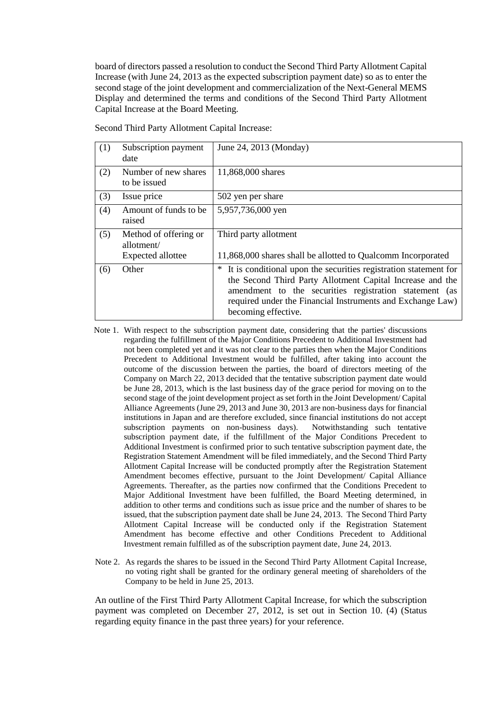board of directors passed a resolution to conduct the Second Third Party Allotment Capital Increase (with June 24, 2013 as the expected subscription payment date) so as to enter the second stage of the joint development and commercialization of the Next-General MEMS Display and determined the terms and conditions of the Second Third Party Allotment Capital Increase at the Board Meeting.

| (1) | Subscription payment<br>date                             | June 24, 2013 (Monday)                                                                                                                                                                                                                                                            |
|-----|----------------------------------------------------------|-----------------------------------------------------------------------------------------------------------------------------------------------------------------------------------------------------------------------------------------------------------------------------------|
| (2) | Number of new shares<br>to be issued                     | 11,868,000 shares                                                                                                                                                                                                                                                                 |
| (3) | Issue price                                              | 502 yen per share                                                                                                                                                                                                                                                                 |
| (4) | Amount of funds to be.<br>raised                         | 5,957,736,000 yen                                                                                                                                                                                                                                                                 |
| (5) | Method of offering or<br>allotment/<br>Expected allottee | Third party allotment<br>11,868,000 shares shall be allotted to Qualcomm Incorporated                                                                                                                                                                                             |
| (6) | Other                                                    | It is conditional upon the securities registration statement for<br>∗<br>the Second Third Party Allotment Capital Increase and the<br>amendment to the securities registration statement (as<br>required under the Financial Instruments and Exchange Law)<br>becoming effective. |

Second Third Party Allotment Capital Increase:

- Note 1. With respect to the subscription payment date, considering that the parties' discussions regarding the fulfillment of the Major Conditions Precedent to Additional Investment had not been completed yet and it was not clear to the parties then when the Major Conditions Precedent to Additional Investment would be fulfilled, after taking into account the outcome of the discussion between the parties, the board of directors meeting of the Company on March 22, 2013 decided that the tentative subscription payment date would be June 28, 2013, which is the last business day of the grace period for moving on to the second stage of the joint development project as set forth in the Joint Development/ Capital Alliance Agreements (June 29, 2013 and June 30, 2013 are non-business days for financial institutions in Japan and are therefore excluded, since financial institutions do not accept subscription payments on non-business days). Notwithstanding such tentative subscription payments on non-business days). subscription payment date, if the fulfillment of the Major Conditions Precedent to Additional Investment is confirmed prior to such tentative subscription payment date, the Registration Statement Amendment will be filed immediately, and the Second Third Party Allotment Capital Increase will be conducted promptly after the Registration Statement Amendment becomes effective, pursuant to the Joint Development/ Capital Alliance Agreements. Thereafter, as the parties now confirmed that the Conditions Precedent to Major Additional Investment have been fulfilled, the Board Meeting determined, in addition to other terms and conditions such as issue price and the number of shares to be issued, that the subscription payment date shall be June 24, 2013. The Second Third Party Allotment Capital Increase will be conducted only if the Registration Statement Amendment has become effective and other Conditions Precedent to Additional Investment remain fulfilled as of the subscription payment date, June 24, 2013.
- Note 2. As regards the shares to be issued in the Second Third Party Allotment Capital Increase, no voting right shall be granted for the ordinary general meeting of shareholders of the Company to be held in June 25, 2013.

An outline of the First Third Party Allotment Capital Increase, for which the subscription payment was completed on December 27, 2012, is set out in Section 10. (4) (Status regarding equity finance in the past three years) for your reference.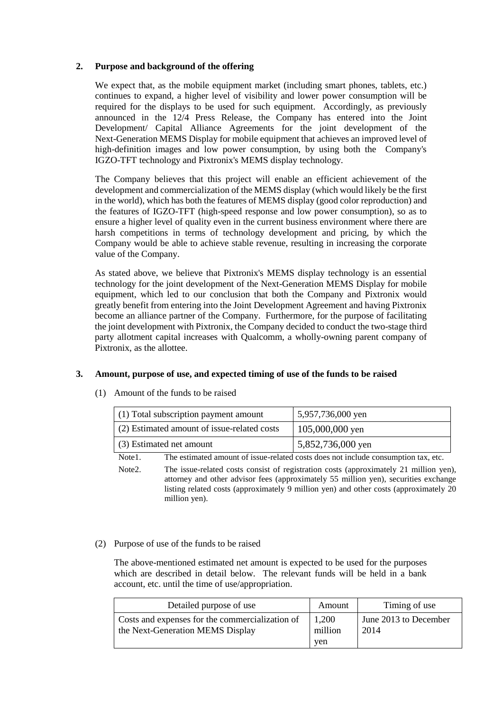## **2. Purpose and background of the offering**

We expect that, as the mobile equipment market (including smart phones, tablets, etc.) continues to expand, a higher level of visibility and lower power consumption will be required for the displays to be used for such equipment. Accordingly, as previously announced in the 12/4 Press Release, the Company has entered into the Joint Development/ Capital Alliance Agreements for the joint development of the Next-Generation MEMS Display for mobile equipment that achieves an improved level of high-definition images and low power consumption, by using both the Company's IGZO-TFT technology and Pixtronix's MEMS display technology.

The Company believes that this project will enable an efficient achievement of the development and commercialization of the MEMS display (which would likely be the first in the world), which has both the features of MEMS display (good color reproduction) and the features of IGZO-TFT (high-speed response and low power consumption), so as to ensure a higher level of quality even in the current business environment where there are harsh competitions in terms of technology development and pricing, by which the Company would be able to achieve stable revenue, resulting in increasing the corporate value of the Company.

As stated above, we believe that Pixtronix's MEMS display technology is an essential technology for the joint development of the Next-Generation MEMS Display for mobile equipment, which led to our conclusion that both the Company and Pixtronix would greatly benefit from entering into the Joint Development Agreement and having Pixtronix become an alliance partner of the Company. Furthermore, for the purpose of facilitating the joint development with Pixtronix, the Company decided to conduct the two-stage third party allotment capital increases with Qualcomm, a wholly-owning parent company of Pixtronix, as the allottee.

## **3. Amount, purpose of use, and expected timing of use of the funds to be raised**

# (1) Amount of the funds to be raised

| $(1)$ Total subscription payment amount     | 5,957,736,000 yen |
|---------------------------------------------|-------------------|
| (2) Estimated amount of issue-related costs | $105,000,000$ yen |
| (3) Estimated net amount                    | 5,852,736,000 yen |

Note1. The estimated amount of issue-related costs does not include consumption tax, etc.

Note2. The issue-related costs consist of registration costs (approximately 21 million yen), attorney and other advisor fees (approximately 55 million yen), securities exchange listing related costs (approximately 9 million yen) and other costs (approximately 20 million yen).

## (2) Purpose of use of the funds to be raised

The above-mentioned estimated net amount is expected to be used for the purposes which are described in detail below. The relevant funds will be held in a bank account, etc. until the time of use/appropriation.

| Detailed purpose of use                                                             | Amount                  | Timing of use                 |
|-------------------------------------------------------------------------------------|-------------------------|-------------------------------|
| Costs and expenses for the commercialization of<br>the Next-Generation MEMS Display | 1,200<br>million<br>ven | June 2013 to December<br>2014 |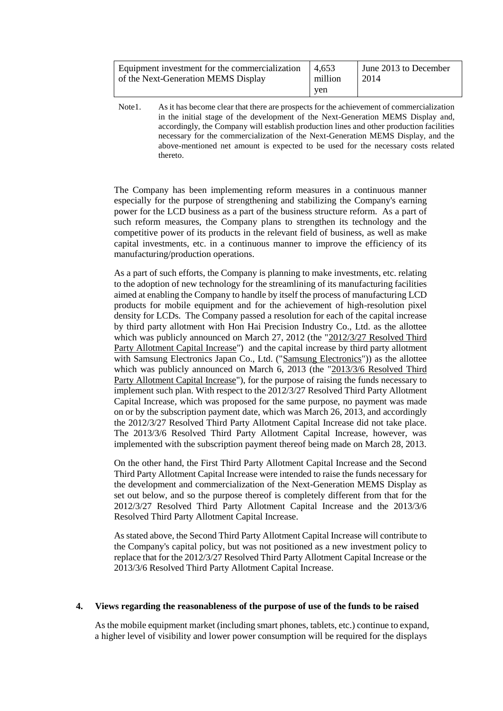| Equipment investment for the commercialization $\vert 4,653 \rangle$<br>of the Next-Generation MEMS Display | million | June 2013 to December<br>  2014 |
|-------------------------------------------------------------------------------------------------------------|---------|---------------------------------|
|                                                                                                             | ven     |                                 |

Note1. As it has become clear that there are prospects for the achievement of commercialization in the initial stage of the development of the Next-Generation MEMS Display and, accordingly, the Company will establish production lines and other production facilities necessary for the commercialization of the Next-Generation MEMS Display, and the above-mentioned net amount is expected to be used for the necessary costs related thereto.

The Company has been implementing reform measures in a continuous manner especially for the purpose of strengthening and stabilizing the Company's earning power for the LCD business as a part of the business structure reform. As a part of such reform measures, the Company plans to strengthen its technology and the competitive power of its products in the relevant field of business, as well as make capital investments, etc. in a continuous manner to improve the efficiency of its manufacturing/production operations.

As a part of such efforts, the Company is planning to make investments, etc. relating to the adoption of new technology for the streamlining of its manufacturing facilities aimed at enabling the Company to handle by itself the process of manufacturing LCD products for mobile equipment and for the achievement of high-resolution pixel density for LCDs. The Company passed a resolution for each of the capital increase by third party allotment with Hon Hai Precision Industry Co., Ltd. as the allottee which was publicly announced on March 27, 2012 (the "2012/3/27 Resolved Third Party Allotment Capital Increase") and the capital increase by third party allotment with Samsung Electronics Japan Co., Ltd. ("Samsung Electronics")) as the allottee which was publicly announced on March 6, 2013 (the "2013/3/6 Resolved Third Party Allotment Capital Increase"), for the purpose of raising the funds necessary to implement such plan. With respect to the 2012/3/27 Resolved Third Party Allotment Capital Increase, which was proposed for the same purpose, no payment was made on or by the subscription payment date, which was March 26, 2013, and accordingly the 2012/3/27 Resolved Third Party Allotment Capital Increase did not take place. The 2013/3/6 Resolved Third Party Allotment Capital Increase, however, was implemented with the subscription payment thereof being made on March 28, 2013.

On the other hand, the First Third Party Allotment Capital Increase and the Second Third Party Allotment Capital Increase were intended to raise the funds necessary for the development and commercialization of the Next-Generation MEMS Display as set out below, and so the purpose thereof is completely different from that for the 2012/3/27 Resolved Third Party Allotment Capital Increase and the 2013/3/6 Resolved Third Party Allotment Capital Increase.

As stated above, the Second Third Party Allotment Capital Increase will contribute to the Company's capital policy, but was not positioned as a new investment policy to replace that for the 2012/3/27 Resolved Third Party Allotment Capital Increase or the 2013/3/6 Resolved Third Party Allotment Capital Increase.

## **4. Views regarding the reasonableness of the purpose of use of the funds to be raised**

As the mobile equipment market (including smart phones, tablets, etc.) continue to expand, a higher level of visibility and lower power consumption will be required for the displays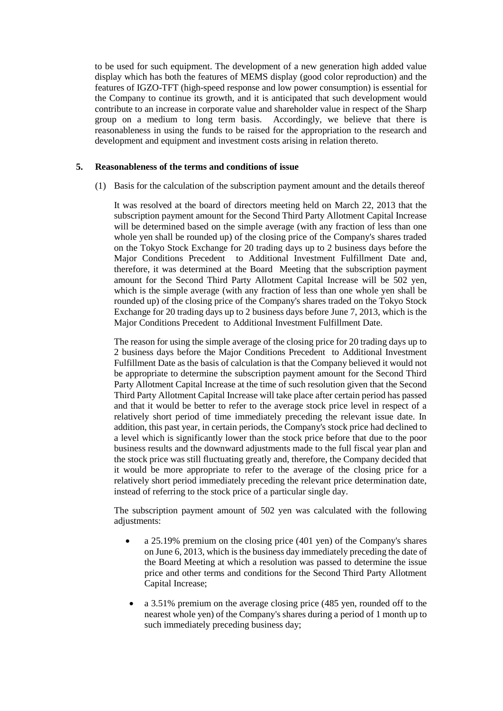to be used for such equipment. The development of a new generation high added value display which has both the features of MEMS display (good color reproduction) and the features of IGZO-TFT (high-speed response and low power consumption) is essential for the Company to continue its growth, and it is anticipated that such development would contribute to an increase in corporate value and shareholder value in respect of the Sharp group on a medium to long term basis. Accordingly, we believe that there is reasonableness in using the funds to be raised for the appropriation to the research and development and equipment and investment costs arising in relation thereto.

#### **5. Reasonableness of the terms and conditions of issue**

(1) Basis for the calculation of the subscription payment amount and the details thereof

It was resolved at the board of directors meeting held on March 22, 2013 that the subscription payment amount for the Second Third Party Allotment Capital Increase will be determined based on the simple average (with any fraction of less than one whole yen shall be rounded up) of the closing price of the Company's shares traded on the Tokyo Stock Exchange for 20 trading days up to 2 business days before the Major Conditions Precedent to Additional Investment Fulfillment Date and, therefore, it was determined at the Board Meeting that the subscription payment amount for the Second Third Party Allotment Capital Increase will be 502 yen, which is the simple average (with any fraction of less than one whole yen shall be rounded up) of the closing price of the Company's shares traded on the Tokyo Stock Exchange for 20 trading days up to 2 business days before June 7, 2013, which is the Major Conditions Precedent to Additional Investment Fulfillment Date.

The reason for using the simple average of the closing price for 20 trading days up to 2 business days before the Major Conditions Precedent to Additional Investment Fulfillment Date as the basis of calculation is that the Company believed it would not be appropriate to determine the subscription payment amount for the Second Third Party Allotment Capital Increase at the time of such resolution given that the Second Third Party Allotment Capital Increase will take place after certain period has passed and that it would be better to refer to the average stock price level in respect of a relatively short period of time immediately preceding the relevant issue date. In addition, this past year, in certain periods, the Company's stock price had declined to a level which is significantly lower than the stock price before that due to the poor business results and the downward adjustments made to the full fiscal year plan and the stock price was still fluctuating greatly and, therefore, the Company decided that it would be more appropriate to refer to the average of the closing price for a relatively short period immediately preceding the relevant price determination date, instead of referring to the stock price of a particular single day.

The subscription payment amount of 502 yen was calculated with the following adjustments:

- a 25.19% premium on the closing price (401 yen) of the Company's shares on June 6, 2013, which is the business day immediately preceding the date of the Board Meeting at which a resolution was passed to determine the issue price and other terms and conditions for the Second Third Party Allotment Capital Increase;
- a 3.51% premium on the average closing price (485 yen, rounded off to the nearest whole yen) of the Company's shares during a period of 1 month up to such immediately preceding business day;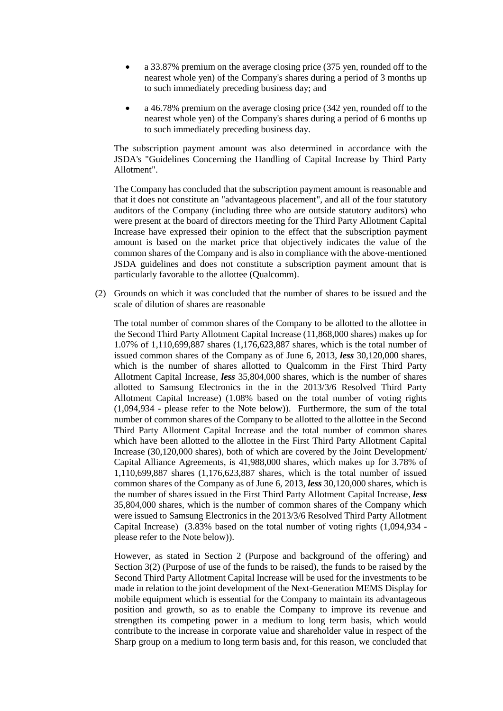- a 33.87% premium on the average closing price (375 yen, rounded off to the nearest whole yen) of the Company's shares during a period of 3 months up to such immediately preceding business day; and
- a 46.78% premium on the average closing price (342 yen, rounded off to the nearest whole yen) of the Company's shares during a period of 6 months up to such immediately preceding business day.

The subscription payment amount was also determined in accordance with the JSDA's "Guidelines Concerning the Handling of Capital Increase by Third Party Allotment".

The Company has concluded that the subscription payment amount is reasonable and that it does not constitute an "advantageous placement", and all of the four statutory auditors of the Company (including three who are outside statutory auditors) who were present at the board of directors meeting for the Third Party Allotment Capital Increase have expressed their opinion to the effect that the subscription payment amount is based on the market price that objectively indicates the value of the common shares of the Company and is also in compliance with the above-mentioned JSDA guidelines and does not constitute a subscription payment amount that is particularly favorable to the allottee (Qualcomm).

(2) Grounds on which it was concluded that the number of shares to be issued and the scale of dilution of shares are reasonable

The total number of common shares of the Company to be allotted to the allottee in the Second Third Party Allotment Capital Increase (11,868,000 shares) makes up for 1.07% of 1,110,699,887 shares (1,176,623,887 shares, which is the total number of issued common shares of the Company as of June 6, 2013, *less* 30,120,000 shares, which is the number of shares allotted to Qualcomm in the First Third Party Allotment Capital Increase, *less* 35,804,000 shares, which is the number of shares allotted to Samsung Electronics in the in the 2013/3/6 Resolved Third Party Allotment Capital Increase) (1.08% based on the total number of voting rights (1,094,934 - please refer to the Note below)). Furthermore, the sum of the total number of common shares of the Company to be allotted to the allottee in the Second Third Party Allotment Capital Increase and the total number of common shares which have been allotted to the allottee in the First Third Party Allotment Capital Increase (30,120,000 shares), both of which are covered by the Joint Development/ Capital Alliance Agreements, is 41,988,000 shares, which makes up for 3.78% of 1,110,699,887 shares (1,176,623,887 shares, which is the total number of issued common shares of the Company as of June 6, 2013, *less* 30,120,000 shares, which is the number of shares issued in the First Third Party Allotment Capital Increase, *less* 35,804,000 shares, which is the number of common shares of the Company which were issued to Samsung Electronics in the 2013/3/6 Resolved Third Party Allotment Capital Increase) (3.83% based on the total number of voting rights (1,094,934 please refer to the Note below)).

However, as stated in Section 2 (Purpose and background of the offering) and Section 3(2) (Purpose of use of the funds to be raised), the funds to be raised by the Second Third Party Allotment Capital Increase will be used for the investments to be made in relation to the joint development of the Next-Generation MEMS Display for mobile equipment which is essential for the Company to maintain its advantageous position and growth, so as to enable the Company to improve its revenue and strengthen its competing power in a medium to long term basis, which would contribute to the increase in corporate value and shareholder value in respect of the Sharp group on a medium to long term basis and, for this reason, we concluded that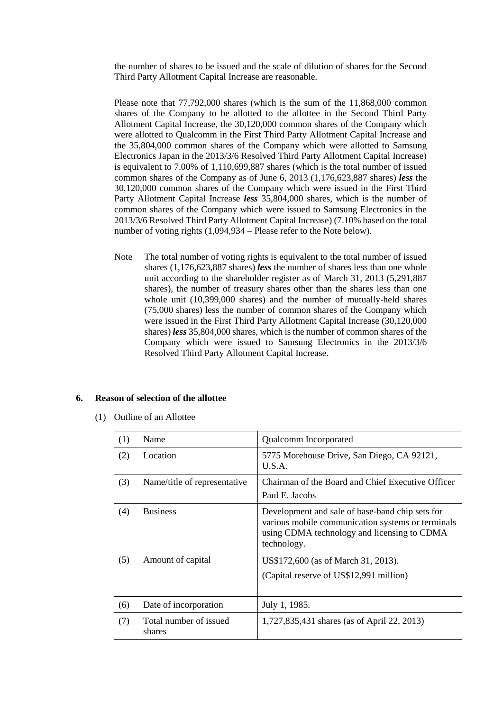the number of shares to be issued and the scale of dilution of shares for the Second Third Party Allotment Capital Increase are reasonable.

Please note that 77,792,000 shares (which is the sum of the 11,868,000 common shares of the Company to be allotted to the allottee in the Second Third Party Allotment Capital Increase, the 30,120,000 common shares of the Company which were allotted to Qualcomm in the First Third Party Allotment Capital Increase and the 35,804,000 common shares of the Company which were allotted to Samsung Electronics Japan in the 2013/3/6 Resolved Third Party Allotment Capital Increase) is equivalent to 7.00% of 1,110,699,887 shares (which is the total number of issued common shares of the Company as of June 6, 2013 (1,176,623,887 shares) *less* the 30,120,000 common shares of the Company which were issued in the First Third Party Allotment Capital Increase *less* 35,804,000 shares, which is the number of common shares of the Company which were issued to Samsung Electronics in the 2013/3/6 Resolved Third Party Allotment Capital Increase) (7.10% based on the total number of voting rights (1,094,934 – Please refer to the Note below).

Note The total number of voting rights is equivalent to the total number of issued shares (1,176,623,887 shares) *less* the number of shares less than one whole unit according to the shareholder register as of March 31, 2013 (5,291,887 shares), the number of treasury shares other than the shares less than one whole unit (10,399,000 shares) and the number of mutually-held shares (75,000 shares) less the number of common shares of the Company which were issued in the First Third Party Allotment Capital Increase (30,120,000 shares) *less* 35,804,000 shares, which is the number of common shares of the Company which were issued to Samsung Electronics in the 2013/3/6 Resolved Third Party Allotment Capital Increase.

## **6. Reason of selection of the allottee**

(1) Outline of an Allottee

| (1) | Name                             | Qualcomm Incorporated                                                                                                                                              |
|-----|----------------------------------|--------------------------------------------------------------------------------------------------------------------------------------------------------------------|
| (2) | Location                         | 5775 Morehouse Drive, San Diego, CA 92121,<br>U.S.A.                                                                                                               |
| (3) | Name/title of representative     | Chairman of the Board and Chief Executive Officer<br>Paul E. Jacobs                                                                                                |
| (4) | <b>Business</b>                  | Development and sale of base-band chip sets for<br>various mobile communication systems or terminals<br>using CDMA technology and licensing to CDMA<br>technology. |
| (5) | Amount of capital                | US\$172,600 (as of March 31, 2013).<br>(Capital reserve of US\$12,991 million)                                                                                     |
| (6) | Date of incorporation            | July 1, 1985.                                                                                                                                                      |
| (7) | Total number of issued<br>shares | 1,727,835,431 shares (as of April 22, 2013)                                                                                                                        |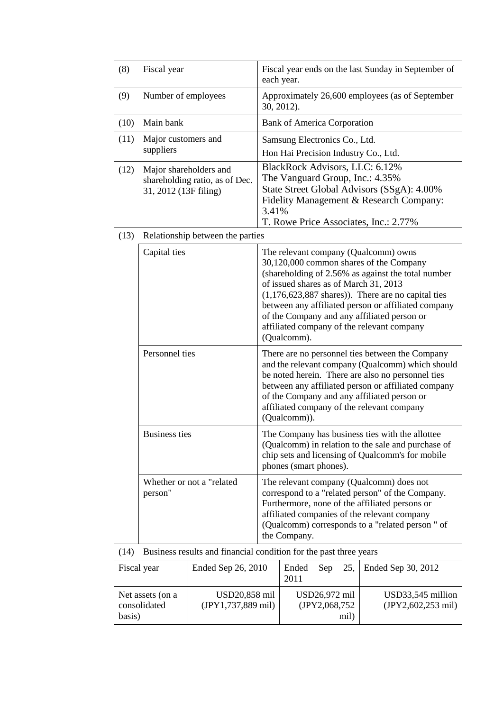| (8)                                                                       | Fiscal year                                                                       |                                                                                                                                                                                                                                                                   |                                                                                                                                                                                                                                                                                                                                                                                                           | Fiscal year ends on the last Sunday in September of<br>each year. |                                |                    |                                         |
|---------------------------------------------------------------------------|-----------------------------------------------------------------------------------|-------------------------------------------------------------------------------------------------------------------------------------------------------------------------------------------------------------------------------------------------------------------|-----------------------------------------------------------------------------------------------------------------------------------------------------------------------------------------------------------------------------------------------------------------------------------------------------------------------------------------------------------------------------------------------------------|-------------------------------------------------------------------|--------------------------------|--------------------|-----------------------------------------|
| (9)                                                                       | Number of employees                                                               |                                                                                                                                                                                                                                                                   |                                                                                                                                                                                                                                                                                                                                                                                                           | Approximately 26,600 employees (as of September<br>30, 2012).     |                                |                    |                                         |
| (10)                                                                      | Main bank                                                                         |                                                                                                                                                                                                                                                                   |                                                                                                                                                                                                                                                                                                                                                                                                           | <b>Bank of America Corporation</b>                                |                                |                    |                                         |
| (11)                                                                      | Major customers and                                                               |                                                                                                                                                                                                                                                                   |                                                                                                                                                                                                                                                                                                                                                                                                           | Samsung Electronics Co., Ltd.                                     |                                |                    |                                         |
|                                                                           | suppliers                                                                         |                                                                                                                                                                                                                                                                   |                                                                                                                                                                                                                                                                                                                                                                                                           | Hon Hai Precision Industry Co., Ltd.                              |                                |                    |                                         |
| (12)                                                                      | Major shareholders and<br>shareholding ratio, as of Dec.<br>31, 2012 (13F filing) |                                                                                                                                                                                                                                                                   | BlackRock Advisors, LLC: 6.12%<br>The Vanguard Group, Inc.: 4.35%<br>State Street Global Advisors (SSgA): 4.00%<br>Fidelity Management & Research Company:<br>3.41%<br>T. Rowe Price Associates, Inc.: 2.77%                                                                                                                                                                                              |                                                                   |                                |                    |                                         |
| (13)                                                                      |                                                                                   | Relationship between the parties                                                                                                                                                                                                                                  |                                                                                                                                                                                                                                                                                                                                                                                                           |                                                                   |                                |                    |                                         |
|                                                                           | Capital ties                                                                      |                                                                                                                                                                                                                                                                   | The relevant company (Qualcomm) owns<br>30,120,000 common shares of the Company<br>(shareholding of 2.56% as against the total number<br>of issued shares as of March 31, 2013<br>$(1,176,623,887$ shares)). There are no capital ties<br>between any affiliated person or affiliated company<br>of the Company and any affiliated person or<br>affiliated company of the relevant company<br>(Qualcomm). |                                                                   |                                |                    |                                         |
|                                                                           | Personnel ties                                                                    |                                                                                                                                                                                                                                                                   | There are no personnel ties between the Company<br>and the relevant company (Qualcomm) which should<br>be noted herein. There are also no personnel ties<br>between any affiliated person or affiliated company<br>of the Company and any affiliated person or<br>affiliated company of the relevant company<br>(Qualcomm)).                                                                              |                                                                   |                                |                    |                                         |
|                                                                           | <b>Business ties</b>                                                              |                                                                                                                                                                                                                                                                   | The Company has business ties with the allottee<br>(Qualcomm) in relation to the sale and purchase of<br>chip sets and licensing of Qualcomm's for mobile<br>phones (smart phones).                                                                                                                                                                                                                       |                                                                   |                                |                    |                                         |
| Whether or not a "related"<br>person"                                     |                                                                                   | The relevant company (Qualcomm) does not<br>correspond to a "related person" of the Company.<br>Furthermore, none of the affiliated persons or<br>affiliated companies of the relevant company<br>(Qualcomm) corresponds to a "related person" of<br>the Company. |                                                                                                                                                                                                                                                                                                                                                                                                           |                                                                   |                                |                    |                                         |
| Business results and financial condition for the past three years<br>(14) |                                                                                   |                                                                                                                                                                                                                                                                   |                                                                                                                                                                                                                                                                                                                                                                                                           |                                                                   |                                |                    |                                         |
| Ended Sep 26, 2010<br>Fiscal year                                         |                                                                                   |                                                                                                                                                                                                                                                                   | Ended<br>2011                                                                                                                                                                                                                                                                                                                                                                                             | Sep                                                               | 25,                            | Ended Sep 30, 2012 |                                         |
| Net assets (on a<br>consolidated<br>basis)                                |                                                                                   | USD20,858 mil<br>(JPY1,737,889 mil)                                                                                                                                                                                                                               |                                                                                                                                                                                                                                                                                                                                                                                                           |                                                                   | USD26,972 mil<br>(JPY2,068,752 | mil)               | USD33,545 million<br>(JPY2,602,253 mil) |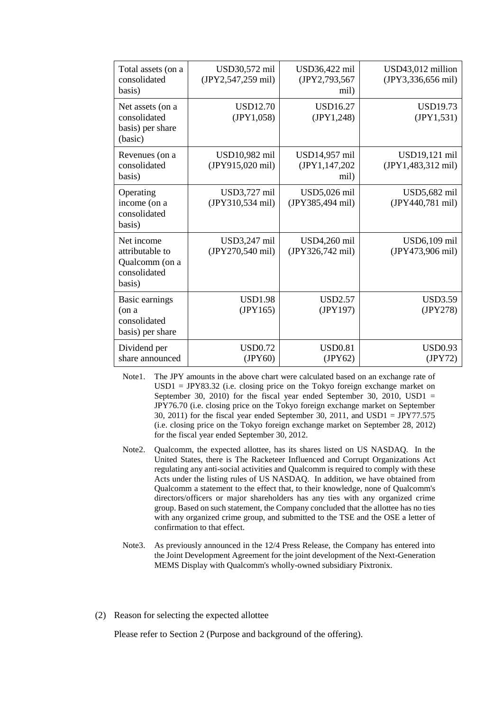| Total assets (on a<br>consolidated<br>basis)                              | USD30,572 mil<br>(JPY2,547,259 mil) | USD36,422 mil<br>(JPY2,793,567<br>mil)  | USD43,012 million<br>(JPY3,336,656 mil)       |
|---------------------------------------------------------------------------|-------------------------------------|-----------------------------------------|-----------------------------------------------|
| Net assets (on a<br>consolidated<br>basis) per share<br>(basic)           | <b>USD12.70</b><br>(JPY1,058)       | <b>USD16.27</b><br>(JPY1,248)           | <b>USD19.73</b><br>(JPY1, 531)                |
| Revenues (on a<br>consolidated<br>basis)                                  | USD10,982 mil<br>(JPY915,020 mil)   | USD14,957 mil<br>(JPY1,147,202)<br>mil) | USD19,121 mil<br>$(JPY1,483,312 \text{ mil})$ |
| Operating<br>income (on a<br>consolidated<br>basis)                       | USD3,727 mil<br>(JPY310,534 mil)    | USD5,026 mil<br>(JPY385,494 mil)        | USD5,682 mil<br>(JPY440,781 mil)              |
| Net income<br>attributable to<br>Qualcomm (on a<br>consolidated<br>basis) | USD3,247 mil<br>(JPY270,540 mil)    | USD4,260 mil<br>(JPY326,742 mil)        | USD6,109 mil<br>(JPY473,906 mil)              |
| Basic earnings<br>(on a<br>consolidated<br>basis) per share               | <b>USD1.98</b><br>(JPY165)          | <b>USD2.57</b><br>(JPY197)              | <b>USD3.59</b><br>(JPY278)                    |
| Dividend per<br>share announced                                           | <b>USD0.72</b><br>(IPY60)           | <b>USD0.81</b><br>(JPY62)               | <b>USD0.93</b><br>(JPY72)                     |

Note1. The JPY amounts in the above chart were calculated based on an exchange rate of  $USD1 = JPY83.32$  (i.e. closing price on the Tokyo foreign exchange market on September 30, 2010) for the fiscal year ended September 30, 2010, USD1  $=$ JPY76.70 (i.e. closing price on the Tokyo foreign exchange market on September 30, 2011) for the fiscal year ended September 30, 2011, and USD1 = JPY77.575 (i.e. closing price on the Tokyo foreign exchange market on September 28, 2012) for the fiscal year ended September 30, 2012.

- Note2. Qualcomm, the expected allottee, has its shares listed on US NASDAQ. In the United States, there is The Racketeer Influenced and Corrupt Organizations Act regulating any anti-social activities and Qualcomm is required to comply with these Acts under the listing rules of US NASDAQ. In addition, we have obtained from Qualcomm a statement to the effect that, to their knowledge, none of Qualcomm's directors/officers or major shareholders has any ties with any organized crime group. Based on such statement, the Company concluded that the allottee has no ties with any organized crime group, and submitted to the TSE and the OSE a letter of confirmation to that effect.
- Note3. As previously announced in the 12/4 Press Release, the Company has entered into the Joint Development Agreement for the joint development of the Next-Generation MEMS Display with Qualcomm's wholly-owned subsidiary Pixtronix.
- (2) Reason for selecting the expected allottee

Please refer to Section 2 (Purpose and background of the offering).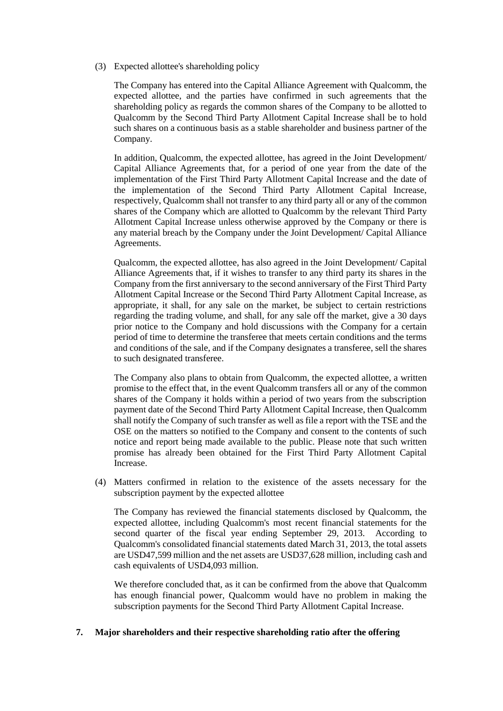(3) Expected allottee's shareholding policy

The Company has entered into the Capital Alliance Agreement with Qualcomm, the expected allottee, and the parties have confirmed in such agreements that the shareholding policy as regards the common shares of the Company to be allotted to Qualcomm by the Second Third Party Allotment Capital Increase shall be to hold such shares on a continuous basis as a stable shareholder and business partner of the Company.

In addition, Qualcomm, the expected allottee, has agreed in the Joint Development/ Capital Alliance Agreements that, for a period of one year from the date of the implementation of the First Third Party Allotment Capital Increase and the date of the implementation of the Second Third Party Allotment Capital Increase, respectively, Qualcomm shall not transfer to any third party all or any of the common shares of the Company which are allotted to Qualcomm by the relevant Third Party Allotment Capital Increase unless otherwise approved by the Company or there is any material breach by the Company under the Joint Development/ Capital Alliance Agreements.

Qualcomm, the expected allottee, has also agreed in the Joint Development/ Capital Alliance Agreements that, if it wishes to transfer to any third party its shares in the Company from the first anniversary to the second anniversary of the First Third Party Allotment Capital Increase or the Second Third Party Allotment Capital Increase, as appropriate, it shall, for any sale on the market, be subject to certain restrictions regarding the trading volume, and shall, for any sale off the market, give a 30 days prior notice to the Company and hold discussions with the Company for a certain period of time to determine the transferee that meets certain conditions and the terms and conditions of the sale, and if the Company designates a transferee, sell the shares to such designated transferee.

The Company also plans to obtain from Qualcomm, the expected allottee, a written promise to the effect that, in the event Qualcomm transfers all or any of the common shares of the Company it holds within a period of two years from the subscription payment date of the Second Third Party Allotment Capital Increase, then Qualcomm shall notify the Company of such transfer as well as file a report with the TSE and the OSE on the matters so notified to the Company and consent to the contents of such notice and report being made available to the public. Please note that such written promise has already been obtained for the First Third Party Allotment Capital Increase.

(4) Matters confirmed in relation to the existence of the assets necessary for the subscription payment by the expected allottee

The Company has reviewed the financial statements disclosed by Qualcomm, the expected allottee, including Qualcomm's most recent financial statements for the second quarter of the fiscal year ending September 29, 2013. According to Qualcomm's consolidated financial statements dated March 31, 2013, the total assets are USD47,599 million and the net assets are USD37,628 million, including cash and cash equivalents of USD4,093 million.

We therefore concluded that, as it can be confirmed from the above that Qualcomm has enough financial power, Qualcomm would have no problem in making the subscription payments for the Second Third Party Allotment Capital Increase.

## **7. Major shareholders and their respective shareholding ratio after the offering**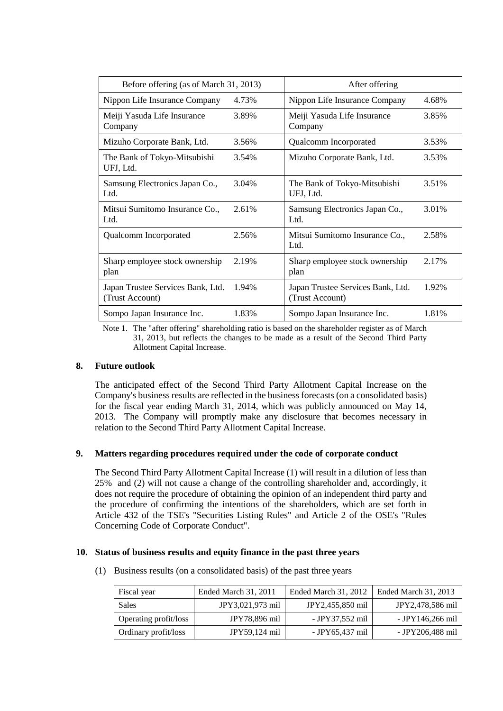| Before offering (as of March 31, 2013)               |       | After offering                                       |       |  |
|------------------------------------------------------|-------|------------------------------------------------------|-------|--|
| Nippon Life Insurance Company                        | 4.73% | Nippon Life Insurance Company                        | 4.68% |  |
| Meiji Yasuda Life Insurance<br>Company               | 3.89% | Meiji Yasuda Life Insurance<br>Company               | 3.85% |  |
| Mizuho Corporate Bank, Ltd.                          | 3.56% | Qualcomm Incorporated                                | 3.53% |  |
| The Bank of Tokyo-Mitsubishi<br>UFJ, Ltd.            | 3.54% | Mizuho Corporate Bank, Ltd.                          | 3.53% |  |
| Samsung Electronics Japan Co.,<br>Ltd.               | 3.04% | The Bank of Tokyo-Mitsubishi<br>UFJ, Ltd.            | 3.51% |  |
| Mitsui Sumitomo Insurance Co.,<br>Ltd.               | 2.61% | Samsung Electronics Japan Co.,<br>Ltd.               | 3.01% |  |
| Qualcomm Incorporated                                | 2.56% | Mitsui Sumitomo Insurance Co.,<br>Ltd.               | 2.58% |  |
| Sharp employee stock ownership<br>plan               | 2.19% | Sharp employee stock ownership<br>plan               | 2.17% |  |
| Japan Trustee Services Bank, Ltd.<br>(Trust Account) | 1.94% | Japan Trustee Services Bank, Ltd.<br>(Trust Account) | 1.92% |  |
| Sompo Japan Insurance Inc.                           | 1.83% | Sompo Japan Insurance Inc.                           | 1.81% |  |

Note 1. The "after offering" shareholding ratio is based on the shareholder register as of March 31, 2013, but reflects the changes to be made as a result of the Second Third Party Allotment Capital Increase.

## **8. Future outlook**

The anticipated effect of the Second Third Party Allotment Capital Increase on the Company's business results are reflected in the business forecasts (on a consolidated basis) for the fiscal year ending March 31, 2014, which was publicly announced on May 14, 2013. The Company will promptly make any disclosure that becomes necessary in relation to the Second Third Party Allotment Capital Increase.

#### **9. Matters regarding procedures required under the code of corporate conduct**

The Second Third Party Allotment Capital Increase (1) will result in a dilution of less than 25% and (2) will not cause a change of the controlling shareholder and, accordingly, it does not require the procedure of obtaining the opinion of an independent third party and the procedure of confirming the intentions of the shareholders, which are set forth in Article 432 of the TSE's "Securities Listing Rules" and Article 2 of the OSE's "Rules Concerning Code of Corporate Conduct".

#### **10. Status of business results and equity finance in the past three years**

(1) Business results (on a consolidated basis) of the past three years

| Fiscal year                  | Ended March 31, 2011 | Ended March 31, 2012 | Ended March 31, 2013 |
|------------------------------|----------------------|----------------------|----------------------|
| Sales                        | JPY3,021,973 mil     | JPY2,455,850 mil     | JPY2,478,586 mil     |
| <b>Operating profit/loss</b> | JPY78,896 mil        | - JPY37,552 mil      | - JPY146,266 mil     |
| Ordinary profit/loss         | JPY59,124 mil        | - JPY65,437 mil      | - JPY206,488 mil     |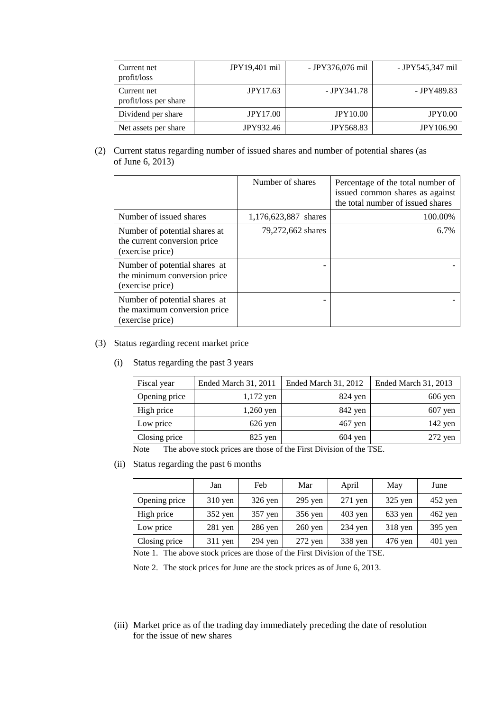| Current net<br>profit/loss           | JPY19,401 mil   | - JPY376,076 mil | - JPY545,347 mil |
|--------------------------------------|-----------------|------------------|------------------|
| Current net<br>profit/loss per share | JPY17.63        | - JPY341.78      | - JPY489.83      |
| Dividend per share                   | <b>JPY17.00</b> | <b>JPY10.00</b>  | <b>JPY0.00</b>   |
| Net assets per share                 | JPY932.46       | <b>JPY568.83</b> | <b>JPY106.90</b> |

(2) Current status regarding number of issued shares and number of potential shares (as of June 6, 2013)

|                                                                                   | Number of shares     | Percentage of the total number of<br>issued common shares as against<br>the total number of issued shares |
|-----------------------------------------------------------------------------------|----------------------|-----------------------------------------------------------------------------------------------------------|
| Number of issued shares                                                           | 1,176,623,887 shares | 100.00%                                                                                                   |
| Number of potential shares at<br>the current conversion price<br>(exercise price) | 79,272,662 shares    | 6.7%                                                                                                      |
| Number of potential shares at<br>the minimum conversion price<br>(exercise price) |                      |                                                                                                           |
| Number of potential shares at<br>the maximum conversion price<br>(exercise price) |                      |                                                                                                           |

- (3) Status regarding recent market price
	- (i) Status regarding the past 3 years

| Fiscal year   | Ended March 31, 2011 | Ended March 31, 2012 | Ended March 31, 2013 |
|---------------|----------------------|----------------------|----------------------|
| Opening price | $1,172$ yen          | $824$ yen            | $606$ yen            |
| High price    | $1,260$ yen          | 842 yen              | $607$ yen            |
| Low price     | $626$ yen            | $467$ yen            | $142$ yen            |
| Closing price | $825$ yen            | $604$ yen            | $272$ yen            |

Note The above stock prices are those of the First Division of the TSE.

(ii) Status regarding the past 6 months

|               | Jan       | Feb       | Mar               | April     | May       | June      |
|---------------|-----------|-----------|-------------------|-----------|-----------|-----------|
| Opening price | $310$ yen | $326$ yen | $295$ yen         | $271$ yen | $325$ yen | $452$ yen |
| High price    | $352$ yen | 357 yen   | 356 yen           | $403$ yen | $633$ yen | $462$ yen |
| Low price     | $281$ yen | $286$ yen | $260 \text{ yen}$ | $234$ yen | $318$ yen | $395$ yen |
| Closing price | $311$ yen | $294$ yen | $272$ yen         | 338 yen   | $476$ yen | $401$ yen |

Note 1. The above stock prices are those of the First Division of the TSE.

Note 2. The stock prices for June are the stock prices as of June 6, 2013.

(iii) Market price as of the trading day immediately preceding the date of resolution for the issue of new shares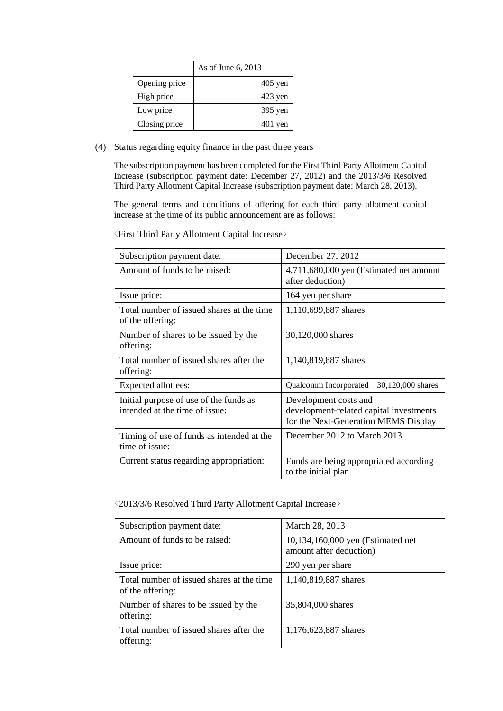|               | As of June 6, 2013 |
|---------------|--------------------|
| Opening price | $405$ yen          |
| High price    | $423$ yen          |
| Low price     | 395 yen            |
| Closing price | $401$ yen          |

(4) Status regarding equity finance in the past three years

The subscription payment has been completed for the First Third Party Allotment Capital Increase (subscription payment date: December 27, 2012) and the 2013/3/6 Resolved Third Party Allotment Capital Increase (subscription payment date: March 28, 2013).

The general terms and conditions of offering for each third party allotment capital increase at the time of its public announcement are as follows:

| Subscription payment date:                                               | December 27, 2012                                                                                        |  |  |
|--------------------------------------------------------------------------|----------------------------------------------------------------------------------------------------------|--|--|
| Amount of funds to be raised:                                            | 4,711,680,000 yen (Estimated net amount<br>after deduction)                                              |  |  |
| Issue price:                                                             | 164 yen per share                                                                                        |  |  |
| Total number of issued shares at the time<br>of the offering:            | 1,110,699,887 shares                                                                                     |  |  |
| Number of shares to be issued by the<br>offering:                        | 30,120,000 shares                                                                                        |  |  |
| Total number of issued shares after the<br>offering:                     | 1,140,819,887 shares                                                                                     |  |  |
| Expected allottees:                                                      | Qualcomm Incorporated<br>30,120,000 shares                                                               |  |  |
| Initial purpose of use of the funds as<br>intended at the time of issue: | Development costs and<br>development-related capital investments<br>for the Next-Generation MEMS Display |  |  |
| Timing of use of funds as intended at the<br>time of issue:              | December 2012 to March 2013                                                                              |  |  |
| Current status regarding appropriation:                                  | Funds are being appropriated according<br>to the initial plan.                                           |  |  |

<First Third Party Allotment Capital Increase>

<2013/3/6 Resolved Third Party Allotment Capital Increase>

| Subscription payment date:                                    | March 28, 2013                                               |  |
|---------------------------------------------------------------|--------------------------------------------------------------|--|
| Amount of funds to be raised:                                 | 10,134,160,000 yen (Estimated net<br>amount after deduction) |  |
| Issue price:                                                  | 290 yen per share                                            |  |
| Total number of issued shares at the time<br>of the offering: | 1,140,819,887 shares                                         |  |
| Number of shares to be issued by the<br>offering:             | 35,804,000 shares                                            |  |
| Total number of issued shares after the<br>offering:          | 1,176,623,887 shares                                         |  |